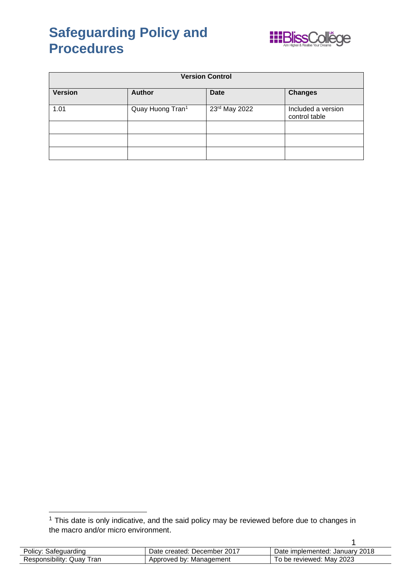

| <b>Version Control</b> |                  |               |                                     |
|------------------------|------------------|---------------|-------------------------------------|
| <b>Version</b>         | <b>Author</b>    | <b>Date</b>   | <b>Changes</b>                      |
| 1.01                   | Quay Huong Tran1 | 23rd May 2022 | Included a version<br>control table |
|                        |                  |               |                                     |
|                        |                  |               |                                     |
|                        |                  |               |                                     |

 $1$  This date is only indicative, and the said policy may be reviewed before due to changes in the macro and/or micro environment.

| Policy: Safeguarding         | Date created: December 2017 | Date implemented: January 2018 |
|------------------------------|-----------------------------|--------------------------------|
| Responsibility: Quay<br>Tran | Approved by: Management     | To be reviewed: Mav 2023       |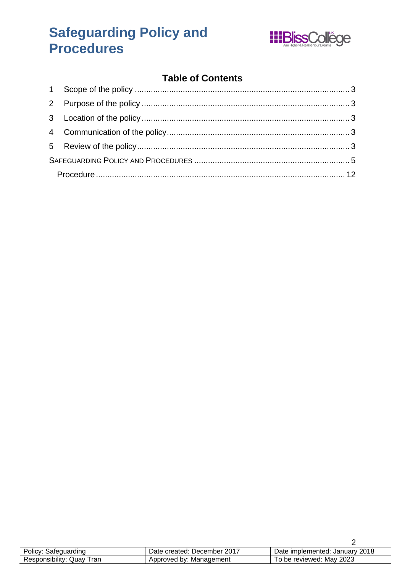

### **Table of Contents**

| Policy: Safeguarding      | Date created: December 2017 | Date implemented: January 2018 |
|---------------------------|-----------------------------|--------------------------------|
| Responsibility: Quay Tran | Approved by: Management     | To be reviewed: May 2023       |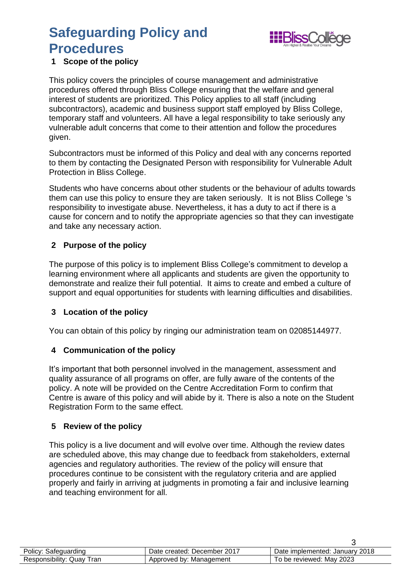

### <span id="page-2-0"></span>**1 Scope of the policy**

This policy covers the principles of course management and administrative procedures offered through Bliss College ensuring that the welfare and general interest of students are prioritized. This Policy applies to all staff (including subcontractors), academic and business support staff employed by Bliss College, temporary staff and volunteers. All have a legal responsibility to take seriously any vulnerable adult concerns that come to their attention and follow the procedures given.

Subcontractors must be informed of this Policy and deal with any concerns reported to them by contacting the Designated Person with responsibility for Vulnerable Adult Protection in Bliss College.

Students who have concerns about other students or the behaviour of adults towards them can use this policy to ensure they are taken seriously. It is not Bliss College 's responsibility to investigate abuse. Nevertheless, it has a duty to act if there is a cause for concern and to notify the appropriate agencies so that they can investigate and take any necessary action.

### <span id="page-2-1"></span>**2 Purpose of the policy**

The purpose of this policy is to implement Bliss College's commitment to develop a learning environment where all applicants and students are given the opportunity to demonstrate and realize their full potential. It aims to create and embed a culture of support and equal opportunities for students with learning difficulties and disabilities.

### <span id="page-2-2"></span>**3 Location of the policy**

You can obtain of this policy by ringing our administration team on 02085144977.

### <span id="page-2-3"></span>**4 Communication of the policy**

It's important that both personnel involved in the management, assessment and quality assurance of all programs on offer, are fully aware of the contents of the policy. A note will be provided on the Centre Accreditation Form to confirm that Centre is aware of this policy and will abide by it. There is also a note on the Student Registration Form to the same effect.

### <span id="page-2-4"></span>**5 Review of the policy**

This policy is a live document and will evolve over time. Although the review dates are scheduled above, this may change due to feedback from stakeholders, external agencies and regulatory authorities. The review of the policy will ensure that procedures continue to be consistent with the regulatory criteria and are applied properly and fairly in arriving at judgments in promoting a fair and inclusive learning and teaching environment for all.

| Policy: Safeguarding      | Date created: December 2017 | Date implemented: January 2018 |
|---------------------------|-----------------------------|--------------------------------|
| Responsibility: Quay Tran | Approved by: Management     | To be reviewed: May 2023       |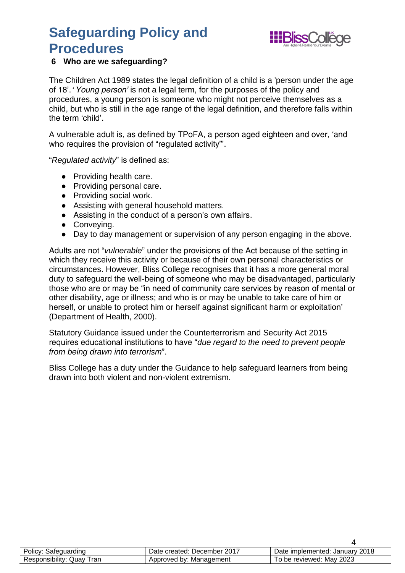

### **6 Who are we safeguarding?**

The Children Act 1989 states the legal definition of a child is a 'person under the age of 18'. *'Young person'* is not a legal term, for the purposes of the policy and procedures, a young person is someone who might not perceive themselves as a child, but who is still in the age range of the legal definition, and therefore falls within the term 'child'.

A vulnerable adult is, as defined by TPoFA, a person aged eighteen and over, 'and who requires the provision of "regulated activity"'.

"*Regulated activity*" is defined as:

- Providing health care.
- Providing personal care.
- Providing social work.
- Assisting with general household matters.
- Assisting in the conduct of a person's own affairs.
- Conveying.
- Day to day management or supervision of any person engaging in the above.

Adults are not "*vulnerable*" under the provisions of the Act because of the setting in which they receive this activity or because of their own personal characteristics or circumstances. However, Bliss College recognises that it has a more general moral duty to safeguard the well-being of someone who may be disadvantaged, particularly those who are or may be "in need of community care services by reason of mental or other disability, age or illness; and who is or may be unable to take care of him or herself, or unable to protect him or herself against significant harm or exploitation' (Department of Health, 2000).

Statutory Guidance issued under the Counterterrorism and Security Act 2015 requires educational institutions to have "*due regard to the need to prevent people from being drawn into terrorism*".

Bliss College has a duty under the Guidance to help safeguard learners from being drawn into both violent and non-violent extremism.

| Policy: Safeguarding      | Date created: December 2017 | Date implemented: January 2018 |
|---------------------------|-----------------------------|--------------------------------|
| Responsibility: Quay Tran | Approved by: Management     | To be reviewed: May 2023       |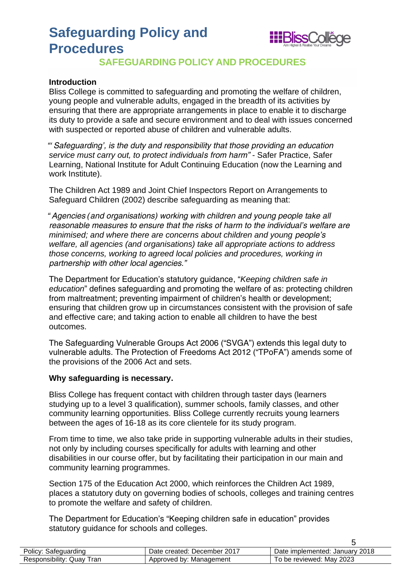

### **SAFEGUARDING POLICY AND PROCEDURES**

#### <span id="page-4-0"></span>**Introduction**

Bliss College is committed to safeguarding and promoting the welfare of children, young people and vulnerable adults, engaged in the breadth of its activities by ensuring that there are appropriate arrangements in place to enable it to discharge its duty to provide a safe and secure environment and to deal with issues concerned with suspected or reported abuse of children and vulnerable adults.

*"'Safeguarding', is the duty and responsibility that those providing an education service must carry out, to protect individuals from harm"* - Safer Practice, Safer Learning, National Institute for Adult Continuing Education (now the Learning and work Institute).

The Children Act 1989 and Joint Chief Inspectors Report on Arrangements to Safeguard Children (2002) describe safeguarding as meaning that:

*"Agencies (and organisations) working with children and young people take all reasonable measures to ensure that the risks of harm to the individual's welfare are minimised; and where there are concerns about children and young people's welfare, all agencies (and organisations) take all appropriate actions to address those concerns, working to agreed local policies and procedures, working in partnership with other local agencies."*

The Department for Education's statutory guidance, "*Keeping children safe in education*" defines safeguarding and promoting the welfare of as: protecting children from maltreatment; preventing impairment of children's health or development; ensuring that children grow up in circumstances consistent with the provision of safe and effective care; and taking action to enable all children to have the best outcomes.

The Safeguarding Vulnerable Groups Act 2006 ("SVGA") extends this legal duty to vulnerable adults. The Protection of Freedoms Act 2012 ("TPoFA") amends some of the provisions of the 2006 Act and sets.

#### **Why safeguarding is necessary.**

Bliss College has frequent contact with children through taster days (learners studying up to a level 3 qualification), summer schools, family classes, and other community learning opportunities. Bliss College currently recruits young learners between the ages of 16-18 as its core clientele for its study program.

From time to time, we also take pride in supporting vulnerable adults in their studies, not only by including courses specifically for adults with learning and other disabilities in our course offer, but by facilitating their participation in our main and community learning programmes.

Section 175 of the Education Act 2000, which reinforces the Children Act 1989, places a statutory duty on governing bodies of schools, colleges and training centres to promote the welfare and safety of children.

The Department for Education's "Keeping children safe in education" provides statutory guidance for schools and colleges.

| Policy: Safeguarding      | Date created: December 2017 | Date implemented: January 2018 |
|---------------------------|-----------------------------|--------------------------------|
| Responsibility: Quay Tran | Approved by: Management     | To be reviewed: May 2023       |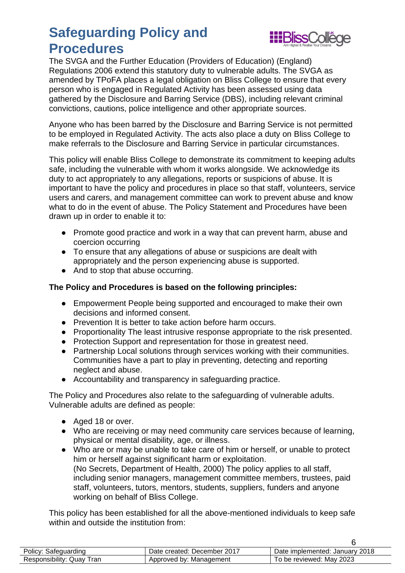

The SVGA and the Further Education (Providers of Education) (England) Regulations 2006 extend this statutory duty to vulnerable adults. The SVGA as amended by TPoFA places a legal obligation on Bliss College to ensure that every person who is engaged in Regulated Activity has been assessed using data gathered by the Disclosure and Barring Service (DBS), including relevant criminal convictions, cautions, police intelligence and other appropriate sources.

Anyone who has been barred by the Disclosure and Barring Service is not permitted to be employed in Regulated Activity. The acts also place a duty on Bliss College to make referrals to the Disclosure and Barring Service in particular circumstances.

This policy will enable Bliss College to demonstrate its commitment to keeping adults safe, including the vulnerable with whom it works alongside. We acknowledge its duty to act appropriately to any allegations, reports or suspicions of abuse. It is important to have the policy and procedures in place so that staff, volunteers, service users and carers, and management committee can work to prevent abuse and know what to do in the event of abuse. The Policy Statement and Procedures have been drawn up in order to enable it to:

- Promote good practice and work in a way that can prevent harm, abuse and coercion occurring
- To ensure that any allegations of abuse or suspicions are dealt with appropriately and the person experiencing abuse is supported.
- And to stop that abuse occurring.

### **The Policy and Procedures is based on the following principles:**

- Empowerment People being supported and encouraged to make their own decisions and informed consent.
- Prevention It is better to take action before harm occurs.
- Proportionality The least intrusive response appropriate to the risk presented.
- Protection Support and representation for those in greatest need.
- Partnership Local solutions through services working with their communities. Communities have a part to play in preventing, detecting and reporting neglect and abuse.
- Accountability and transparency in safeguarding practice.

The Policy and Procedures also relate to the safeguarding of vulnerable adults. Vulnerable adults are defined as people:

- Aged 18 or over.
- Who are receiving or may need community care services because of learning, physical or mental disability, age, or illness.
- Who are or may be unable to take care of him or herself, or unable to protect him or herself against significant harm or exploitation. (No Secrets, Department of Health, 2000) The policy applies to all staff, including senior managers, management committee members, trustees, paid staff, volunteers, tutors, mentors, students, suppliers, funders and anyone working on behalf of Bliss College.

This policy has been established for all the above-mentioned individuals to keep safe within and outside the institution from:

| Policy: Safeguarding         | Date created: December 2017 | Date implemented: January 2018 |
|------------------------------|-----------------------------|--------------------------------|
| Responsibility: Quay<br>⊤ran | Approved by: Management     | To be reviewed: May 2023       |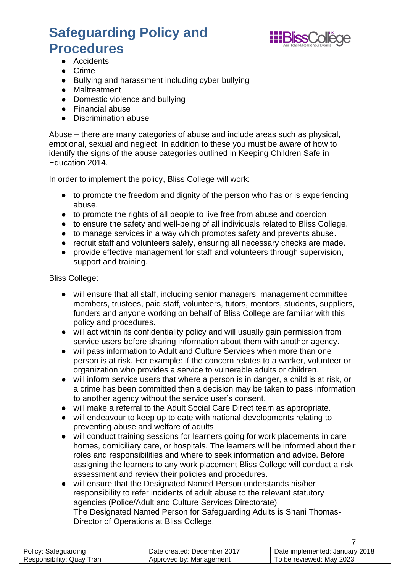

- Accidents
- Crime
- Bullying and harassment including cyber bullying
- Maltreatment
- Domestic violence and bullying
- Financial abuse
- Discrimination abuse

Abuse – there are many categories of abuse and include areas such as physical, emotional, sexual and neglect. In addition to these you must be aware of how to identify the signs of the abuse categories outlined in Keeping Children Safe in Education 2014.

In order to implement the policy, Bliss College will work:

- to promote the freedom and dignity of the person who has or is experiencing abuse.
- to promote the rights of all people to live free from abuse and coercion.
- to ensure the safety and well-being of all individuals related to Bliss College.
- to manage services in a way which promotes safety and prevents abuse.
- recruit staff and volunteers safely, ensuring all necessary checks are made.
- provide effective management for staff and volunteers through supervision, support and training.

Bliss College:

- will ensure that all staff, including senior managers, management committee members, trustees, paid staff, volunteers, tutors, mentors, students, suppliers, funders and anyone working on behalf of Bliss College are familiar with this policy and procedures.
- will act within its confidentiality policy and will usually gain permission from service users before sharing information about them with another agency.
- will pass information to Adult and Culture Services when more than one person is at risk. For example: if the concern relates to a worker, volunteer or organization who provides a service to vulnerable adults or children.
- will inform service users that where a person is in danger, a child is at risk, or a crime has been committed then a decision may be taken to pass information to another agency without the service user's consent.
- will make a referral to the Adult Social Care Direct team as appropriate.
- will endeavour to keep up to date with national developments relating to preventing abuse and welfare of adults.
- will conduct training sessions for learners going for work placements in care homes, domiciliary care, or hospitals. The learners will be informed about their roles and responsibilities and where to seek information and advice. Before assigning the learners to any work placement Bliss College will conduct a risk assessment and review their policies and procedures.
- will ensure that the Designated Named Person understands his/her responsibility to refer incidents of adult abuse to the relevant statutory agencies (Police/Adult and Culture Services Directorate) The Designated Named Person for Safeguarding Adults is Shani Thomas-Director of Operations at Bliss College.

| Policy: Safeguarding      | Date created: December 2017 | Date implemented: January 2018 |
|---------------------------|-----------------------------|--------------------------------|
| Responsibility: Quay Tran | Approved by: Management     | To be reviewed: May 2023       |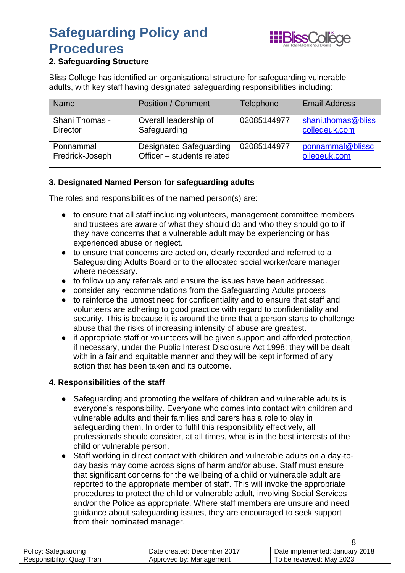

### **2. Safeguarding Structure**

Bliss College has identified an organisational structure for safeguarding vulnerable adults, with key staff having designated safeguarding responsibilities including:

| <b>Name</b>           | <b>Position / Comment</b>      | <b>Telephone</b> | <b>Email Address</b> |
|-----------------------|--------------------------------|------------------|----------------------|
| <b>Shani Thomas -</b> | Overall leadership of          | 02085144977      | shani.thomas@bliss   |
| <b>Director</b>       | Safeguarding                   |                  | collegeuk.com        |
| Ponnammal             | <b>Designated Safeguarding</b> | 02085144977      | ponnammal@blissc     |
| Fredrick-Joseph       | Officer - students related     |                  | ollegeuk.com         |

### **3. Designated Named Person for safeguarding adults**

The roles and responsibilities of the named person(s) are:

- to ensure that all staff including volunteers, management committee members and trustees are aware of what they should do and who they should go to if they have concerns that a vulnerable adult may be experiencing or has experienced abuse or neglect.
- to ensure that concerns are acted on, clearly recorded and referred to a Safeguarding Adults Board or to the allocated social worker/care manager where necessary.
- to follow up any referrals and ensure the issues have been addressed.
- consider any recommendations from the Safeguarding Adults process
- to reinforce the utmost need for confidentiality and to ensure that staff and volunteers are adhering to good practice with regard to confidentiality and security. This is because it is around the time that a person starts to challenge abuse that the risks of increasing intensity of abuse are greatest.
- if appropriate staff or volunteers will be given support and afforded protection, if necessary, under the Public Interest Disclosure Act 1998: they will be dealt with in a fair and equitable manner and they will be kept informed of any action that has been taken and its outcome.

### **4. Responsibilities of the staff**

- Safeguarding and promoting the welfare of children and vulnerable adults is everyone's responsibility. Everyone who comes into contact with children and vulnerable adults and their families and carers has a role to play in safeguarding them. In order to fulfil this responsibility effectively, all professionals should consider, at all times, what is in the best interests of the child or vulnerable person.
- Staff working in direct contact with children and vulnerable adults on a day-today basis may come across signs of harm and/or abuse. Staff must ensure that significant concerns for the wellbeing of a child or vulnerable adult are reported to the appropriate member of staff. This will invoke the appropriate procedures to protect the child or vulnerable adult, involving Social Services and/or the Police as appropriate. Where staff members are unsure and need guidance about safeguarding issues, they are encouraged to seek support from their nominated manager.

| Policy: Safeguarding         | Date created: December 2017 | Date implemented: January 2018 |
|------------------------------|-----------------------------|--------------------------------|
| Responsibility: Quay<br>'ran | Approved by: Management     | To be reviewed: May 2023       |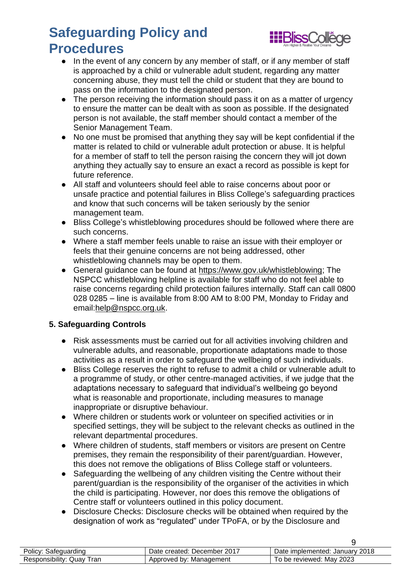

- In the event of any concern by any member of staff, or if any member of staff is approached by a child or vulnerable adult student, regarding any matter concerning abuse, they must tell the child or student that they are bound to pass on the information to the designated person.
- The person receiving the information should pass it on as a matter of urgency to ensure the matter can be dealt with as soon as possible. If the designated person is not available, the staff member should contact a member of the Senior Management Team.
- No one must be promised that anything they say will be kept confidential if the matter is related to child or vulnerable adult protection or abuse. It is helpful for a member of staff to tell the person raising the concern they will jot down anything they actually say to ensure an exact a record as possible is kept for future reference.
- All staff and volunteers should feel able to raise concerns about poor or unsafe practice and potential failures in Bliss College's safeguarding practices and know that such concerns will be taken seriously by the senior management team.
- Bliss College's whistleblowing procedures should be followed where there are such concerns.
- Where a staff member feels unable to raise an issue with their employer or feels that their genuine concerns are not being addressed, other whistleblowing channels may be open to them.
- General guidance can be found at https://www.gov.uk/whistleblowing: The NSPCC whistleblowing helpline is available for staff who do not feel able to raise concerns regarding child protection failures internally. Staff can call 0800 028 0285 – line is available from 8:00 AM to 8:00 PM, Monday to Friday and email[:help@nspcc.org.uk.](mailto:help@nspcc.org.uk)

### **5. Safeguarding Controls**

- Risk assessments must be carried out for all activities involving children and vulnerable adults, and reasonable, proportionate adaptations made to those activities as a result in order to safeguard the wellbeing of such individuals.
- Bliss College reserves the right to refuse to admit a child or vulnerable adult to a programme of study, or other centre-managed activities, if we judge that the adaptations necessary to safeguard that individual's wellbeing go beyond what is reasonable and proportionate, including measures to manage inappropriate or disruptive behaviour.
- Where children or students work or volunteer on specified activities or in specified settings, they will be subject to the relevant checks as outlined in the relevant departmental procedures.
- Where children of students, staff members or visitors are present on Centre premises, they remain the responsibility of their parent/guardian. However, this does not remove the obligations of Bliss College staff or volunteers.
- Safeguarding the wellbeing of any children visiting the Centre without their parent/guardian is the responsibility of the organiser of the activities in which the child is participating. However, nor does this remove the obligations of Centre staff or volunteers outlined in this policy document.
- Disclosure Checks: Disclosure checks will be obtained when required by the designation of work as "regulated" under TPoFA, or by the Disclosure and

| Policy: Safeguarding      | Date created: December 2017 | Date implemented: January 2018 |
|---------------------------|-----------------------------|--------------------------------|
| Responsibility: Quay Tran | Approved by: Management     | To be reviewed: May 2023       |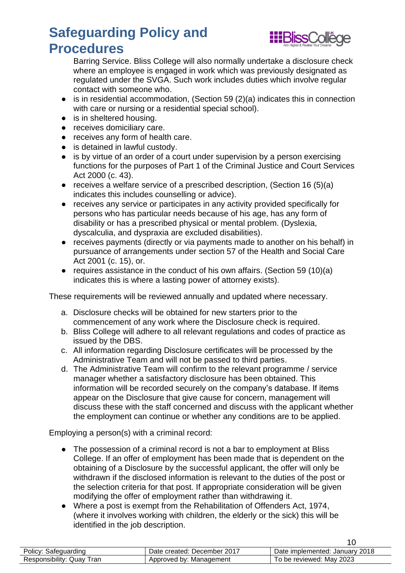

Barring Service. Bliss College will also normally undertake a disclosure check where an employee is engaged in work which was previously designated as regulated under the SVGA. Such work includes duties which involve regular contact with someone who.

- is in residential accommodation, (Section 59 (2)(a) indicates this in connection with care or nursing or a residential special school).
- is in sheltered housing.
- receives domiciliary care.
- receives any form of health care.
- is detained in lawful custody.
- is by virtue of an order of a court under supervision by a person exercising functions for the purposes of Part 1 of the Criminal Justice and Court Services Act 2000 (c. 43).
- receives a welfare service of a prescribed description, (Section 16 (5)(a) indicates this includes counselling or advice).
- receives any service or participates in any activity provided specifically for persons who has particular needs because of his age, has any form of disability or has a prescribed physical or mental problem. (Dyslexia, dyscalculia, and dyspraxia are excluded disabilities).
- receives payments (directly or via payments made to another on his behalf) in pursuance of arrangements under section 57 of the Health and Social Care Act 2001 (c. 15), or.
- requires assistance in the conduct of his own affairs. (Section 59 (10)(a) indicates this is where a lasting power of attorney exists).

These requirements will be reviewed annually and updated where necessary.

- a. Disclosure checks will be obtained for new starters prior to the commencement of any work where the Disclosure check is required.
- b. Bliss College will adhere to all relevant regulations and codes of practice as issued by the DBS.
- c. All information regarding Disclosure certificates will be processed by the Administrative Team and will not be passed to third parties.
- d. The Administrative Team will confirm to the relevant programme / service manager whether a satisfactory disclosure has been obtained. This information will be recorded securely on the company's database. If items appear on the Disclosure that give cause for concern, management will discuss these with the staff concerned and discuss with the applicant whether the employment can continue or whether any conditions are to be applied.

Employing a person(s) with a criminal record:

- The possession of a criminal record is not a bar to employment at Bliss College. If an offer of employment has been made that is dependent on the obtaining of a Disclosure by the successful applicant, the offer will only be withdrawn if the disclosed information is relevant to the duties of the post or the selection criteria for that post. If appropriate consideration will be given modifying the offer of employment rather than withdrawing it.
- Where a post is exempt from the Rehabilitation of Offenders Act, 1974, (where it involves working with children, the elderly or the sick) this will be identified in the job description.

| Policy: Safeguarding         | Date created: December 2017 | Date implemented: January 2018 |
|------------------------------|-----------------------------|--------------------------------|
| Responsibility: Quay<br>`ran | Approved by: Management     | To be reviewed: May 2023       |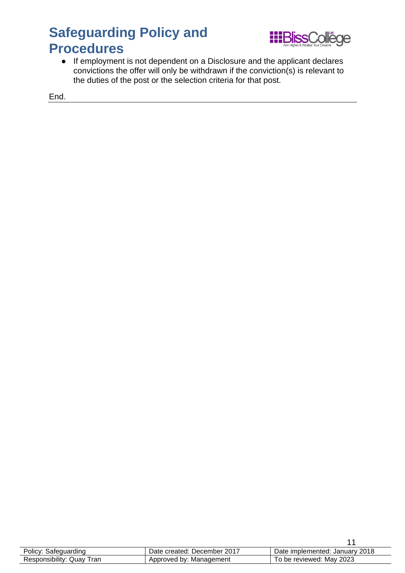

● If employment is not dependent on a Disclosure and the applicant declares convictions the offer will only be withdrawn if the conviction(s) is relevant to the duties of the post or the selection criteria for that post.

End.

| Policy: Safeguarding         | Date created: December 2017 | Date implemented: January 2018 |
|------------------------------|-----------------------------|--------------------------------|
| Responsibility: Quay<br>Tran | Approved by: Management     | To be reviewed: May 2023       |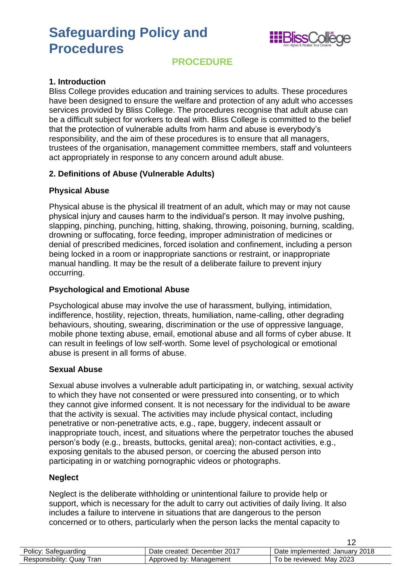

### **PROCEDURE**

#### <span id="page-11-0"></span>**1. Introduction**

Bliss College provides education and training services to adults. These procedures have been designed to ensure the welfare and protection of any adult who accesses services provided by Bliss College. The procedures recognise that adult abuse can be a difficult subject for workers to deal with. Bliss College is committed to the belief that the protection of vulnerable adults from harm and abuse is everybody's responsibility, and the aim of these procedures is to ensure that all managers, trustees of the organisation, management committee members, staff and volunteers act appropriately in response to any concern around adult abuse.

#### **2. Definitions of Abuse (Vulnerable Adults)**

#### **Physical Abuse**

Physical abuse is the physical ill treatment of an adult, which may or may not cause physical injury and causes harm to the individual's person. It may involve pushing, slapping, pinching, punching, hitting, shaking, throwing, poisoning, burning, scalding, drowning or suffocating, force feeding, improper administration of medicines or denial of prescribed medicines, forced isolation and confinement, including a person being locked in a room or inappropriate sanctions or restraint, or inappropriate manual handling. It may be the result of a deliberate failure to prevent injury occurring.

### **Psychological and Emotional Abuse**

Psychological abuse may involve the use of harassment, bullying, intimidation, indifference, hostility, rejection, threats, humiliation, name-calling, other degrading behaviours, shouting, swearing, discrimination or the use of oppressive language, mobile phone texting abuse, email, emotional abuse and all forms of cyber abuse. It can result in feelings of low self-worth. Some level of psychological or emotional abuse is present in all forms of abuse.

#### **Sexual Abuse**

Sexual abuse involves a vulnerable adult participating in, or watching, sexual activity to which they have not consented or were pressured into consenting, or to which they cannot give informed consent. It is not necessary for the individual to be aware that the activity is sexual. The activities may include physical contact, including penetrative or non-penetrative acts, e.g., rape, buggery, indecent assault or inappropriate touch, incest, and situations where the perpetrator touches the abused person's body (e.g., breasts, buttocks, genital area); non-contact activities, e.g., exposing genitals to the abused person, or coercing the abused person into participating in or watching pornographic videos or photographs.

#### **Neglect**

Neglect is the deliberate withholding or unintentional failure to provide help or support, which is necessary for the adult to carry out activities of daily living. It also includes a failure to intervene in situations that are dangerous to the person concerned or to others, particularly when the person lacks the mental capacity to

| Policy: Safeguarding           | Date created: December 2017 | Date implemented: January 2018 |
|--------------------------------|-----------------------------|--------------------------------|
| Responsibility: Quay T<br>Tran | Approved by: Management     | To be reviewed: May 2023       |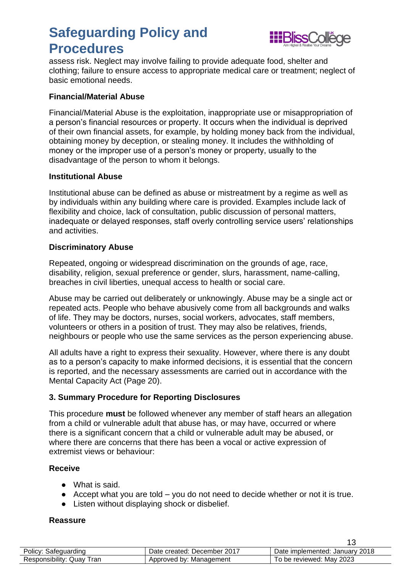

assess risk. Neglect may involve failing to provide adequate food, shelter and clothing; failure to ensure access to appropriate medical care or treatment; neglect of basic emotional needs.

#### **Financial/Material Abuse**

Financial/Material Abuse is the exploitation, inappropriate use or misappropriation of a person's financial resources or property. It occurs when the individual is deprived of their own financial assets, for example, by holding money back from the individual, obtaining money by deception, or stealing money. It includes the withholding of money or the improper use of a person's money or property, usually to the disadvantage of the person to whom it belongs.

#### **Institutional Abuse**

Institutional abuse can be defined as abuse or mistreatment by a regime as well as by individuals within any building where care is provided. Examples include lack of flexibility and choice, lack of consultation, public discussion of personal matters, inadequate or delayed responses, staff overly controlling service users' relationships and activities.

#### **Discriminatory Abuse**

Repeated, ongoing or widespread discrimination on the grounds of age, race, disability, religion, sexual preference or gender, slurs, harassment, name-calling, breaches in civil liberties, unequal access to health or social care.

Abuse may be carried out deliberately or unknowingly. Abuse may be a single act or repeated acts. People who behave abusively come from all backgrounds and walks of life. They may be doctors, nurses, social workers, advocates, staff members, volunteers or others in a position of trust. They may also be relatives, friends, neighbours or people who use the same services as the person experiencing abuse.

All adults have a right to express their sexuality. However, where there is any doubt as to a person's capacity to make informed decisions, it is essential that the concern is reported, and the necessary assessments are carried out in accordance with the Mental Capacity Act (Page 20).

#### **3. Summary Procedure for Reporting Disclosures**

This procedure **must** be followed whenever any member of staff hears an allegation from a child or vulnerable adult that abuse has, or may have, occurred or where there is a significant concern that a child or vulnerable adult may be abused, or where there are concerns that there has been a vocal or active expression of extremist views or behaviour:

#### **Receive**

- What is said.
- $\bullet$  Accept what you are told  $-$  you do not need to decide whether or not it is true.
- Listen without displaying shock or disbelief.

#### **Reassure**

| Policy: Safeguarding      | Date created: December 2017 | Date implemented: January 2018 |
|---------------------------|-----------------------------|--------------------------------|
| Responsibility: Quay Tran | Approved by: Management     | To be reviewed: May 2023       |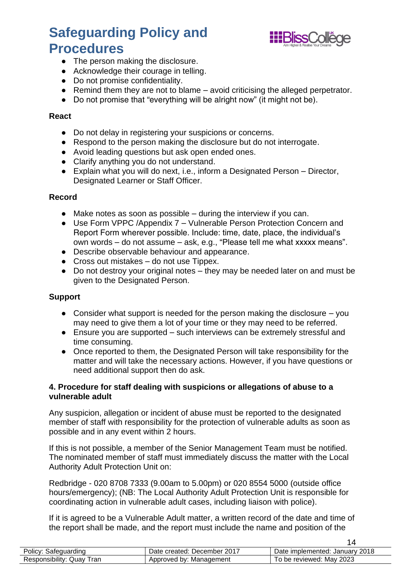

 $14$ 

- The person making the disclosure.
- Acknowledge their courage in telling.
- Do not promise confidentiality.
- Remind them they are not to blame avoid criticising the alleged perpetrator.
- Do not promise that "everything will be alright now" (it might not be).

#### **React**

- Do not delay in registering your suspicions or concerns.
- Respond to the person making the disclosure but do not interrogate.
- Avoid leading questions but ask open ended ones.
- Clarify anything you do not understand.
- Explain what you will do next, i.e., inform a Designated Person Director, Designated Learner or Staff Officer.

#### **Record**

- $\bullet$  Make notes as soon as possible during the interview if you can.
- Use Form VPPC /Appendix 7 Vulnerable Person Protection Concern and Report Form wherever possible. Include: time, date, place, the individual's own words – do not assume – ask, e.g., "Please tell me what xxxxx means".
- Describe observable behaviour and appearance.
- $\bullet$  Cross out mistakes do not use Tippex.
- Do not destroy your original notes they may be needed later on and must be given to the Designated Person.

#### **Support**

- Consider what support is needed for the person making the disclosure  $-$  you may need to give them a lot of your time or they may need to be referred.
- Ensure you are supported such interviews can be extremely stressful and time consuming.
- Once reported to them, the Designated Person will take responsibility for the matter and will take the necessary actions. However, if you have questions or need additional support then do ask.

#### **4. Procedure for staff dealing with suspicions or allegations of abuse to a vulnerable adult**

Any suspicion, allegation or incident of abuse must be reported to the designated member of staff with responsibility for the protection of vulnerable adults as soon as possible and in any event within 2 hours.

If this is not possible, a member of the Senior Management Team must be notified. The nominated member of staff must immediately discuss the matter with the Local Authority Adult Protection Unit on:

Redbridge - 020 8708 7333 (9.00am to 5.00pm) or 020 8554 5000 (outside office hours/emergency); (NB: The Local Authority Adult Protection Unit is responsible for coordinating action in vulnerable adult cases, including liaison with police).

If it is agreed to be a Vulnerable Adult matter, a written record of the date and time of the report shall be made, and the report must include the name and position of the

| 1000000000<br><b>Lolicy.</b><br>satequard<br>rainc | 2017<br>Jate<br>December<br>created: | 2018<br>. Januarv '<br>implemented:<br>⊃ate |
|----------------------------------------------------|--------------------------------------|---------------------------------------------|
| <br>ran<br>Jua∨<br>Responsibility:                 | Approved by:<br>Management           | 2023<br>Mav<br>reviewed:<br>o be            |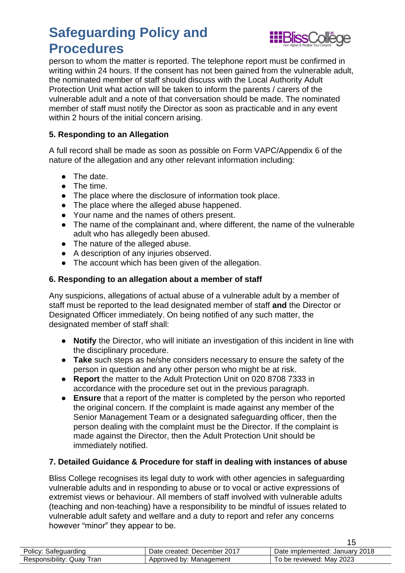

person to whom the matter is reported. The telephone report must be confirmed in writing within 24 hours. If the consent has not been gained from the vulnerable adult, the nominated member of staff should discuss with the Local Authority Adult Protection Unit what action will be taken to inform the parents / carers of the vulnerable adult and a note of that conversation should be made. The nominated member of staff must notify the Director as soon as practicable and in any event within 2 hours of the initial concern arising.

### **5. Responding to an Allegation**

A full record shall be made as soon as possible on Form VAPC/Appendix 6 of the nature of the allegation and any other relevant information including:

- The date.
- The time.
- The place where the disclosure of information took place.
- The place where the alleged abuse happened.
- Your name and the names of others present.
- The name of the complainant and, where different, the name of the vulnerable adult who has allegedly been abused.
- The nature of the alleged abuse.
- A description of any injuries observed.
- The account which has been given of the allegation.

#### **6. Responding to an allegation about a member of staff**

Any suspicions, allegations of actual abuse of a vulnerable adult by a member of staff must be reported to the lead designated member of staff **and** the Director or Designated Officer immediately. On being notified of any such matter, the designated member of staff shall:

- **Notify** the Director, who will initiate an investigation of this incident in line with the disciplinary procedure.
- **Take** such steps as he/she considers necessary to ensure the safety of the person in question and any other person who might be at risk.
- **Report** the matter to the Adult Protection Unit on 020 8708 7333 in accordance with the procedure set out in the previous paragraph.
- **Ensure** that a report of the matter is completed by the person who reported the original concern. If the complaint is made against any member of the Senior Management Team or a designated safeguarding officer, then the person dealing with the complaint must be the Director. If the complaint is made against the Director, then the Adult Protection Unit should be immediately notified.

#### **7. Detailed Guidance & Procedure for staff in dealing with instances of abuse**

Bliss College recognises its legal duty to work with other agencies in safeguarding vulnerable adults and in responding to abuse or to vocal or active expressions of extremist views or behaviour. All members of staff involved with vulnerable adults (teaching and non-teaching) have a responsibility to be mindful of issues related to vulnerable adult safety and welfare and a duty to report and refer any concerns however "minor" they appear to be.

| Policy: Safeguarding      | Date created: December 2017 | Date implemented: January 2018 |
|---------------------------|-----------------------------|--------------------------------|
| Responsibility: Quay Tran | Approved by: Management     | To be reviewed: May 2023       |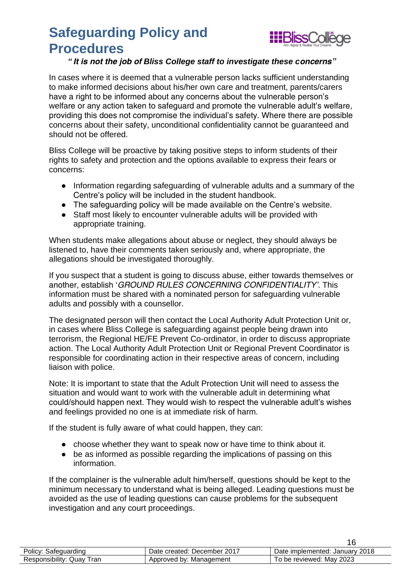

### *"It is not the job of Bliss College staff to investigate these concerns"*

In cases where it is deemed that a vulnerable person lacks sufficient understanding to make informed decisions about his/her own care and treatment, parents/carers have a right to be informed about any concerns about the vulnerable person's welfare or any action taken to safeguard and promote the vulnerable adult's welfare, providing this does not compromise the individual's safety. Where there are possible concerns about their safety, unconditional confidentiality cannot be guaranteed and should not be offered.

Bliss College will be proactive by taking positive steps to inform students of their rights to safety and protection and the options available to express their fears or concerns:

- Information regarding safeguarding of vulnerable adults and a summary of the Centre's policy will be included in the student handbook.
- The safeguarding policy will be made available on the Centre's website.
- Staff most likely to encounter vulnerable adults will be provided with appropriate training.

When students make allegations about abuse or neglect, they should always be listened to, have their comments taken seriously and, where appropriate, the allegations should be investigated thoroughly.

If you suspect that a student is going to discuss abuse, either towards themselves or another, establish '*GROUND RULES CONCERNING CONFIDENTIALITY'*. This information must be shared with a nominated person for safeguarding vulnerable adults and possibly with a counsellor.

The designated person will then contact the Local Authority Adult Protection Unit or, in cases where Bliss College is safeguarding against people being drawn into terrorism, the Regional HE/FE Prevent Co-ordinator, in order to discuss appropriate action. The Local Authority Adult Protection Unit or Regional Prevent Coordinator is responsible for coordinating action in their respective areas of concern, including liaison with police.

Note: It is important to state that the Adult Protection Unit will need to assess the situation and would want to work with the vulnerable adult in determining what could/should happen next. They would wish to respect the vulnerable adult's wishes and feelings provided no one is at immediate risk of harm.

If the student is fully aware of what could happen, they can:

- choose whether they want to speak now or have time to think about it.
- be as informed as possible regarding the implications of passing on this information.

If the complainer is the vulnerable adult him/herself, questions should be kept to the minimum necessary to understand what is being alleged. Leading questions must be avoided as the use of leading questions can cause problems for the subsequent investigation and any court proceedings.

| Policy: Safeguarding         | Date created: December 2017 | Date implemented: January 2018 |
|------------------------------|-----------------------------|--------------------------------|
| Responsibility: Quay<br>Tran | Approved by: Management     | To be reviewed: May 2023       |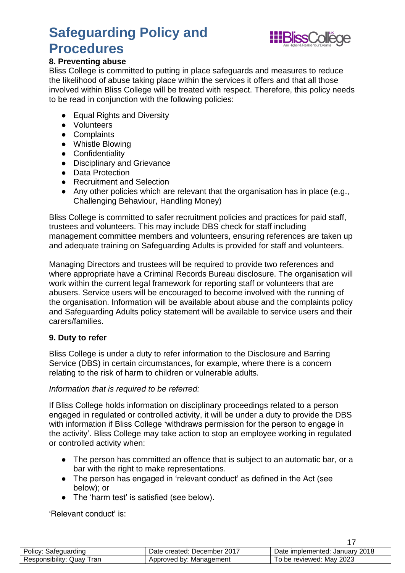

### **8. Preventing abuse**

Bliss College is committed to putting in place safeguards and measures to reduce the likelihood of abuse taking place within the services it offers and that all those involved within Bliss College will be treated with respect. Therefore, this policy needs to be read in conjunction with the following policies:

- Equal Rights and Diversity
- Volunteers
- Complaints
- Whistle Blowing
- Confidentiality
- Disciplinary and Grievance
- Data Protection
- Recruitment and Selection
- Any other policies which are relevant that the organisation has in place (e.g., Challenging Behaviour, Handling Money)

Bliss College is committed to safer recruitment policies and practices for paid staff, trustees and volunteers. This may include DBS check for staff including management committee members and volunteers, ensuring references are taken up and adequate training on Safeguarding Adults is provided for staff and volunteers.

Managing Directors and trustees will be required to provide two references and where appropriate have a Criminal Records Bureau disclosure. The organisation will work within the current legal framework for reporting staff or volunteers that are abusers. Service users will be encouraged to become involved with the running of the organisation. Information will be available about abuse and the complaints policy and Safeguarding Adults policy statement will be available to service users and their carers/families.

#### **9. Duty to refer**

Bliss College is under a duty to refer information to the Disclosure and Barring Service (DBS) in certain circumstances, for example, where there is a concern relating to the risk of harm to children or vulnerable adults.

#### *Information that is required to be referred:*

If Bliss College holds information on disciplinary proceedings related to a person engaged in regulated or controlled activity, it will be under a duty to provide the DBS with information if Bliss College 'withdraws permission for the person to engage in the activity'. Bliss College may take action to stop an employee working in regulated or controlled activity when:

- The person has committed an offence that is subject to an automatic bar, or a bar with the right to make representations.
- The person has engaged in 'relevant conduct' as defined in the Act (see below); or
- The 'harm test' is satisfied (see below).

'Relevant conduct' is:

| Policy: Safeguarding      | Date created: December 2017 | Date implemented: January 2018 |
|---------------------------|-----------------------------|--------------------------------|
| Responsibility: Quay Tran | Approved by: Management     | To be reviewed: May 2023       |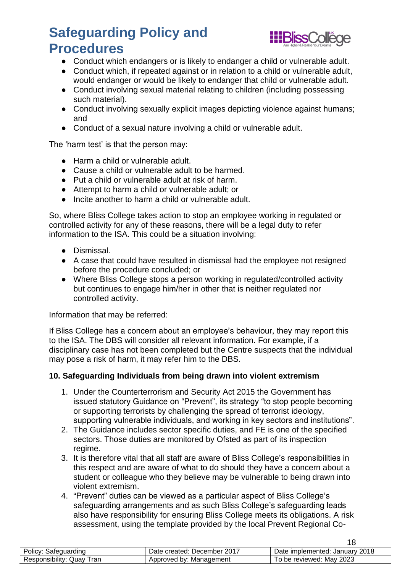

18

- Conduct which endangers or is likely to endanger a child or vulnerable adult.
- Conduct which, if repeated against or in relation to a child or vulnerable adult, would endanger or would be likely to endanger that child or vulnerable adult.
- Conduct involving sexual material relating to children (including possessing such material).
- Conduct involving sexually explicit images depicting violence against humans; and
- Conduct of a sexual nature involving a child or vulnerable adult.

The 'harm test' is that the person may:

- Harm a child or vulnerable adult.
- Cause a child or vulnerable adult to be harmed.
- Put a child or vulnerable adult at risk of harm.
- Attempt to harm a child or vulnerable adult; or
- Incite another to harm a child or vulnerable adult.

So, where Bliss College takes action to stop an employee working in regulated or controlled activity for any of these reasons, there will be a legal duty to refer information to the ISA. This could be a situation involving:

- Dismissal.
- A case that could have resulted in dismissal had the employee not resigned before the procedure concluded; or
- Where Bliss College stops a person working in regulated/controlled activity but continues to engage him/her in other that is neither regulated nor controlled activity.

Information that may be referred:

If Bliss College has a concern about an employee's behaviour, they may report this to the ISA. The DBS will consider all relevant information. For example, if a disciplinary case has not been completed but the Centre suspects that the individual may pose a risk of harm, it may refer him to the DBS.

### **10. Safeguarding Individuals from being drawn into violent extremism**

- 1. Under the Counterterrorism and Security Act 2015 the Government has issued statutory Guidance on "Prevent", its strategy "to stop people becoming or supporting terrorists by challenging the spread of terrorist ideology, supporting vulnerable individuals, and working in key sectors and institutions".
- 2. The Guidance includes sector specific duties, and FE is one of the specified sectors. Those duties are monitored by Ofsted as part of its inspection regime.
- 3. It is therefore vital that all staff are aware of Bliss College's responsibilities in this respect and are aware of what to do should they have a concern about a student or colleague who they believe may be vulnerable to being drawn into violent extremism.
- 4. "Prevent" duties can be viewed as a particular aspect of Bliss College's safeguarding arrangements and as such Bliss College's safeguarding leads also have responsibility for ensuring Bliss College meets its obligations. A risk assessment, using the template provided by the local Prevent Regional Co-

|                                      |                                      | --                                         |
|--------------------------------------|--------------------------------------|--------------------------------------------|
| Olicy.<br>≾afeɑuardınɑ               | 2017<br>Jate<br>December<br>created: | 2018<br>∴Januarv<br>: implemented:<br>Date |
| ran<br>. sibility.<br>Juav<br>≺espor | Approveo<br>Management<br>hv.        | 2023<br>reviewed:<br>be<br>Mav             |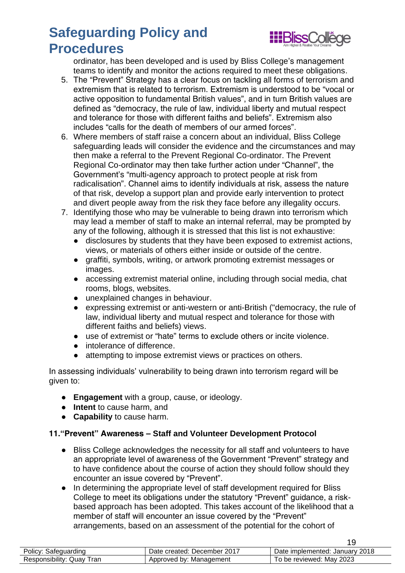

19

ordinator, has been developed and is used by Bliss College's management teams to identify and monitor the actions required to meet these obligations.

- 5. The "Prevent" Strategy has a clear focus on tackling all forms of terrorism and extremism that is related to terrorism. Extremism is understood to be "vocal or active opposition to fundamental British values", and in turn British values are defined as "democracy, the rule of law, individual liberty and mutual respect and tolerance for those with different faiths and beliefs". Extremism also includes "calls for the death of members of our armed forces".
- 6. Where members of staff raise a concern about an individual, Bliss College safeguarding leads will consider the evidence and the circumstances and may then make a referral to the Prevent Regional Co-ordinator. The Prevent Regional Co-ordinator may then take further action under "Channel", the Government's "multi-agency approach to protect people at risk from radicalisation". Channel aims to identify individuals at risk, assess the nature of that risk, develop a support plan and provide early intervention to protect and divert people away from the risk they face before any illegality occurs.
- 7. Identifying those who may be vulnerable to being drawn into terrorism which may lead a member of staff to make an internal referral, may be prompted by any of the following, although it is stressed that this list is not exhaustive:
	- disclosures by students that they have been exposed to extremist actions, views, or materials of others either inside or outside of the centre.
	- graffiti, symbols, writing, or artwork promoting extremist messages or images.
	- accessing extremist material online, including through social media, chat rooms, blogs, websites.
	- unexplained changes in behaviour.
	- expressing extremist or anti-western or anti-British ("democracy, the rule of law, individual liberty and mutual respect and tolerance for those with different faiths and beliefs) views.
	- use of extremist or "hate" terms to exclude others or incite violence.
	- intolerance of difference.
	- attempting to impose extremist views or practices on others.

In assessing individuals' vulnerability to being drawn into terrorism regard will be given to:

- **Engagement** with a group, cause, or ideology.
- **Intent** to cause harm, and
- **Capability** to cause harm.

### **11."Prevent" Awareness – Staff and Volunteer Development Protocol**

- Bliss College acknowledges the necessity for all staff and volunteers to have an appropriate level of awareness of the Government "Prevent" strategy and to have confidence about the course of action they should follow should they encounter an issue covered by "Prevent".
- In determining the appropriate level of staff development required for Bliss College to meet its obligations under the statutory "Prevent" guidance, a riskbased approach has been adopted. This takes account of the likelihood that a member of staff will encounter an issue covered by the "Prevent" arrangements, based on an assessment of the potential for the cohort of

| auardınd<br>POIICV.                                   | 2017<br>created:<br>December<br>Date | 2018<br>Januarv<br>implemented:<br>Date |
|-------------------------------------------------------|--------------------------------------|-----------------------------------------|
| ran<br>Jua⊻<br>ہ ۔<br>YJIISIDIIITV.<br>. <sup>.</sup> | Approved<br>Management<br>nv.<br>. . | 2023<br>Mav<br>reviewed:<br>be          |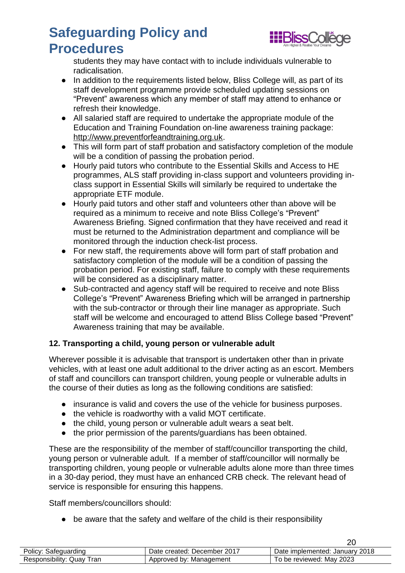

students they may have contact with to include individuals vulnerable to radicalisation.

- In addition to the requirements listed below, Bliss College will, as part of its staff development programme provide scheduled updating sessions on "Prevent" awareness which any member of staff may attend to enhance or refresh their knowledge.
- All salaried staff are required to undertake the appropriate module of the Education and Training Foundation on-line awareness training package: [http://www.preventforfeandtraining.org.uk.](http://www.preventforfeandtraining.org.uk/)
- This will form part of staff probation and satisfactory completion of the module will be a condition of passing the probation period.
- Hourly paid tutors who contribute to the Essential Skills and Access to HE programmes, ALS staff providing in-class support and volunteers providing inclass support in Essential Skills will similarly be required to undertake the appropriate ETF module.
- Hourly paid tutors and other staff and volunteers other than above will be required as a minimum to receive and note Bliss College's "Prevent" Awareness Briefing. Signed confirmation that they have received and read it must be returned to the Administration department and compliance will be monitored through the induction check-list process.
- For new staff, the requirements above will form part of staff probation and satisfactory completion of the module will be a condition of passing the probation period. For existing staff, failure to comply with these requirements will be considered as a disciplinary matter.
- Sub-contracted and agency staff will be required to receive and note Bliss College's "Prevent" Awareness Briefing which will be arranged in partnership with the sub-contractor or through their line manager as appropriate. Such staff will be welcome and encouraged to attend Bliss College based "Prevent" Awareness training that may be available.

### **12. Transporting a child, young person or vulnerable adult**

Wherever possible it is advisable that transport is undertaken other than in private vehicles, with at least one adult additional to the driver acting as an escort. Members of staff and councillors can transport children, young people or vulnerable adults in the course of their duties as long as the following conditions are satisfied:

- insurance is valid and covers the use of the vehicle for business purposes.
- the vehicle is roadworthy with a valid MOT certificate.
- the child, young person or vulnerable adult wears a seat belt.
- the prior permission of the parents/guardians has been obtained.

These are the responsibility of the member of staff/councillor transporting the child, young person or vulnerable adult. If a member of staff/councillor will normally be transporting children, young people or vulnerable adults alone more than three times in a 30-day period, they must have an enhanced CRB check. The relevant head of service is responsible for ensuring this happens.

Staff members/councillors should:

• be aware that the safety and welfare of the child is their responsibility

|                           |                             | nr                             |
|---------------------------|-----------------------------|--------------------------------|
| Policy: Safeguarding      | Date created: December 2017 | Date implemented: January 2018 |
| Responsibility: Quay Tran | Approved by: Management     | To be reviewed: May 2023       |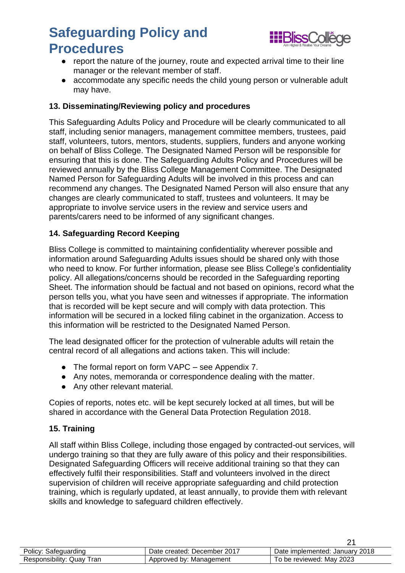

- report the nature of the journey, route and expected arrival time to their line manager or the relevant member of staff.
- accommodate any specific needs the child young person or vulnerable adult may have.

### **13. Disseminating/Reviewing policy and procedures**

This Safeguarding Adults Policy and Procedure will be clearly communicated to all staff, including senior managers, management committee members, trustees, paid staff, volunteers, tutors, mentors, students, suppliers, funders and anyone working on behalf of Bliss College. The Designated Named Person will be responsible for ensuring that this is done. The Safeguarding Adults Policy and Procedures will be reviewed annually by the Bliss College Management Committee. The Designated Named Person for Safeguarding Adults will be involved in this process and can recommend any changes. The Designated Named Person will also ensure that any changes are clearly communicated to staff, trustees and volunteers. It may be appropriate to involve service users in the review and service users and parents/carers need to be informed of any significant changes.

#### **14. Safeguarding Record Keeping**

Bliss College is committed to maintaining confidentiality wherever possible and information around Safeguarding Adults issues should be shared only with those who need to know. For further information, please see Bliss College's confidentiality policy. All allegations/concerns should be recorded in the Safeguarding reporting Sheet. The information should be factual and not based on opinions, record what the person tells you, what you have seen and witnesses if appropriate. The information that is recorded will be kept secure and will comply with data protection. This information will be secured in a locked filing cabinet in the organization. Access to this information will be restricted to the Designated Named Person.

The lead designated officer for the protection of vulnerable adults will retain the central record of all allegations and actions taken. This will include:

- The formal report on form VAPC see Appendix 7.
- Any notes, memoranda or correspondence dealing with the matter.
- Any other relevant material.

Copies of reports, notes etc. will be kept securely locked at all times, but will be shared in accordance with the General Data Protection Regulation 2018.

#### **15. Training**

All staff within Bliss College, including those engaged by contracted-out services, will undergo training so that they are fully aware of this policy and their responsibilities. Designated Safeguarding Officers will receive additional training so that they can effectively fulfil their responsibilities. Staff and volunteers involved in the direct supervision of children will receive appropriate safeguarding and child protection training, which is regularly updated, at least annually, to provide them with relevant skills and knowledge to safeguard children effectively.

| Policy: Safeguarding      | Date created: December 2017 | Date implemented: January 2018 |
|---------------------------|-----------------------------|--------------------------------|
| Responsibility: Quay Tran | Approved by: Management     | To be reviewed: May 2023       |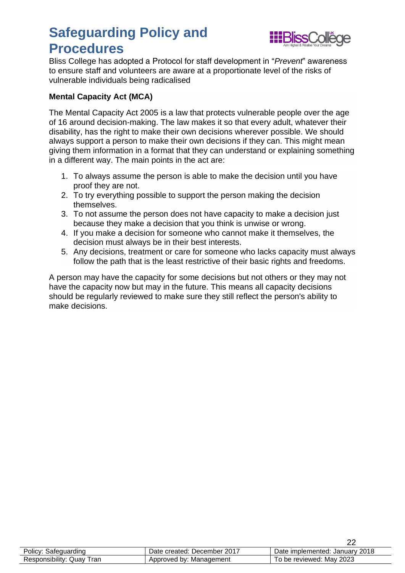

Bliss College has adopted a Protocol for staff development in "*Prevent*" awareness to ensure staff and volunteers are aware at a proportionate level of the risks of vulnerable individuals being radicalised

### **Mental Capacity Act (MCA)**

The Mental Capacity Act 2005 is a law that protects vulnerable people over the age of 16 around decision-making. The law makes it so that every adult, whatever their disability, has the right to make their own decisions wherever possible. We should always support a person to make their own decisions if they can. This might mean giving them information in a format that they can understand or explaining something in a different way. The main points in the act are:

- 1. To always assume the person is able to make the decision until you have proof they are not.
- 2. To try everything possible to support the person making the decision themselves.
- 3. To not assume the person does not have capacity to make a decision just because they make a decision that you think is unwise or wrong.
- 4. If you make a decision for someone who cannot make it themselves, the decision must always be in their best interests.
- 5. Any decisions, treatment or care for someone who lacks capacity must always follow the path that is the least restrictive of their basic rights and freedoms.

A person may have the capacity for some decisions but not others or they may not have the capacity now but may in the future. This means all capacity decisions should be regularly reviewed to make sure they still reflect the person's ability to make decisions.

|                           |                             | nr                             |
|---------------------------|-----------------------------|--------------------------------|
| Policy:<br>Safeguarding   | Date created: December 2017 | Date implemented: January 2018 |
| Responsibility: Quay Tran | Approved by: Management     | To be reviewed: May 2023       |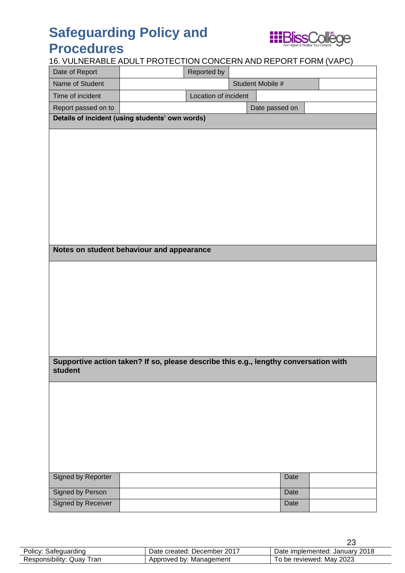

### 16. VULNERABLE ADULT PROTECTION CONCERN AND REPORT FORM (VAPC)

| <u>10. VOLIVERADLE ADOLT I ROTECTION CONCERN AND REL ORT FORM (VAL O)</u>            |                                                 |                      |  |                  |  |  |
|--------------------------------------------------------------------------------------|-------------------------------------------------|----------------------|--|------------------|--|--|
| Date of Report                                                                       |                                                 | Reported by          |  |                  |  |  |
| Name of Student                                                                      |                                                 |                      |  | Student Mobile # |  |  |
| Time of incident                                                                     |                                                 | Location of incident |  |                  |  |  |
| Report passed on to                                                                  |                                                 |                      |  | Date passed on   |  |  |
|                                                                                      | Details of incident (using students' own words) |                      |  |                  |  |  |
|                                                                                      |                                                 |                      |  |                  |  |  |
|                                                                                      |                                                 |                      |  |                  |  |  |
|                                                                                      |                                                 |                      |  |                  |  |  |
|                                                                                      |                                                 |                      |  |                  |  |  |
|                                                                                      |                                                 |                      |  |                  |  |  |
|                                                                                      |                                                 |                      |  |                  |  |  |
|                                                                                      |                                                 |                      |  |                  |  |  |
|                                                                                      |                                                 |                      |  |                  |  |  |
|                                                                                      |                                                 |                      |  |                  |  |  |
|                                                                                      |                                                 |                      |  |                  |  |  |
|                                                                                      |                                                 |                      |  |                  |  |  |
|                                                                                      |                                                 |                      |  |                  |  |  |
| Notes on student behaviour and appearance                                            |                                                 |                      |  |                  |  |  |
|                                                                                      |                                                 |                      |  |                  |  |  |
|                                                                                      |                                                 |                      |  |                  |  |  |
|                                                                                      |                                                 |                      |  |                  |  |  |
|                                                                                      |                                                 |                      |  |                  |  |  |
|                                                                                      |                                                 |                      |  |                  |  |  |
|                                                                                      |                                                 |                      |  |                  |  |  |
|                                                                                      |                                                 |                      |  |                  |  |  |
|                                                                                      |                                                 |                      |  |                  |  |  |
|                                                                                      |                                                 |                      |  |                  |  |  |
| Supportive action taken? If so, please describe this e.g., lengthy conversation with |                                                 |                      |  |                  |  |  |
| student                                                                              |                                                 |                      |  |                  |  |  |
|                                                                                      |                                                 |                      |  |                  |  |  |
|                                                                                      |                                                 |                      |  |                  |  |  |
|                                                                                      |                                                 |                      |  |                  |  |  |
|                                                                                      |                                                 |                      |  |                  |  |  |
|                                                                                      |                                                 |                      |  |                  |  |  |
|                                                                                      |                                                 |                      |  |                  |  |  |
|                                                                                      |                                                 |                      |  |                  |  |  |
|                                                                                      |                                                 |                      |  |                  |  |  |
|                                                                                      |                                                 |                      |  |                  |  |  |
| <b>Signed by Reporter</b>                                                            |                                                 |                      |  | Date             |  |  |
|                                                                                      |                                                 |                      |  |                  |  |  |
| <b>Signed by Person</b>                                                              |                                                 |                      |  | Date             |  |  |
| <b>Signed by Receiver</b>                                                            |                                                 |                      |  | Date             |  |  |
|                                                                                      |                                                 |                      |  |                  |  |  |

| Policy: Safeguarding      | Date created: December 2017 | Date implemented: January 2018 |
|---------------------------|-----------------------------|--------------------------------|
| Responsibility: Quay Tran | Approved by: Management     | To be reviewed: May 2023       |